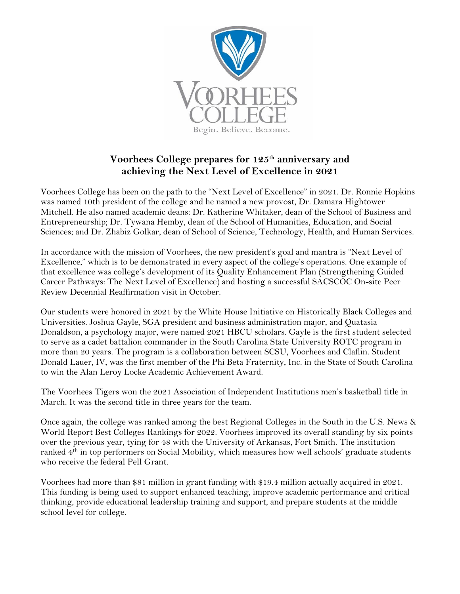

## **Voorhees College prepares for 125th anniversary and achieving the Next Level of Excellence in 2021**

Voorhees College has been on the path to the "Next Level of Excellence" in 2021. Dr. Ronnie Hopkins was named 10th president of the college and he named a new provost, Dr. Damara Hightower Mitchell. He also named academic deans: Dr. Katherine Whitaker, dean of the School of Business and Entrepreneurship; Dr. Tywana Hemby, dean of the School of Humanities, Education, and Social Sciences; and Dr. Zhabiz Golkar, dean of School of Science, Technology, Health, and Human Services.

In accordance with the mission of Voorhees, the new president's goal and mantra is "Next Level of Excellence," which is to be demonstrated in every aspect of the college's operations. One example of that excellence was college's development of its Quality Enhancement Plan (Strengthening Guided Career Pathways: The Next Level of Excellence) and hosting a successful SACSCOC On-site Peer Review Decennial Reaffirmation visit in October.

Our students were honored in 2021 by the White House Initiative on Historically Black Colleges and Universities. Joshua Gayle, SGA president and business administration major, and Quatasia Donaldson, a psychology major, were named 2021 HBCU scholars. Gayle is the first student selected to serve as a cadet battalion commander in the South Carolina State University ROTC program in more than 20 years. The program is a collaboration between SCSU, Voorhees and Claflin. Student Donald Lauer, IV, was the first member of the Phi Beta Fraternity, Inc. in the State of South Carolina to win the Alan Leroy Locke Academic Achievement Award.

The Voorhees Tigers won the 2021 Association of Independent Institutions men's basketball title in March. It was the second title in three years for the team.

Once again, the college was ranked among the best Regional Colleges in the South in the U.S. News & World Report Best Colleges Rankings for 2022. Voorhees improved its overall standing by six points over the previous year, tying for 48 with the University of Arkansas, Fort Smith. The institution ranked 4th in top performers on Social Mobility, which measures how well schools' graduate students who receive the federal Pell Grant.

Voorhees had more than \$81 million in grant funding with \$19.4 million actually acquired in 2021. This funding is being used to support enhanced teaching, improve academic performance and critical thinking, provide educational leadership training and support, and prepare students at the middle school level for college.